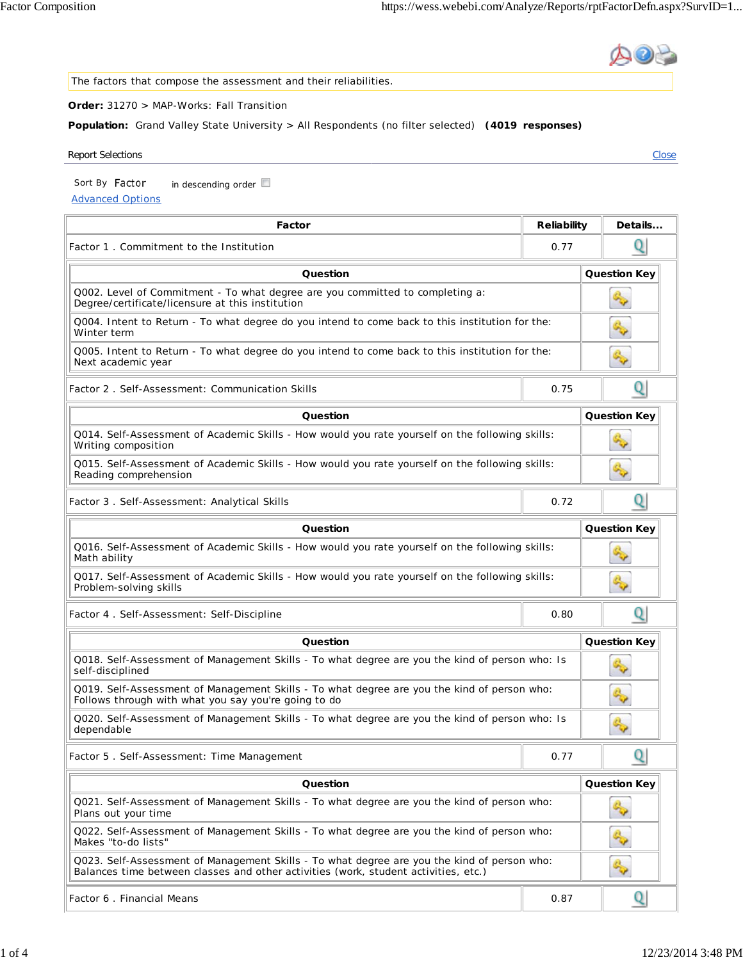The factors that compose the assessment and their reliabilities. **Order:** 31270 > MAP-Works: Fall Transition **Population:** Grand Valley State University > All Respondents (no filter selected) **(4019 responses)** Report Selections **Close** Sort By Factor  $\ln$  descending order  $\Box$ Advanced Options **Factor Reliability** Details... Q Factor 1 . Commitment to the Institution 0.77 **Question Contract Contract Contract Contract Contract Contract Contract Contract Contract Contract Contract Contract Contract Contract Contract Contract Contract Contract Contract Contract Contract Contract Contract Contr** Q002. Level of Commitment - To what degree are you committed to completing a: Degree/certificate/licensure at this institution Q004. Intent to Return - To what degree do you intend to come back to this institution for the: Winter term Q005. Intent to Return - To what degree do you intend to come back to this institution for the: Next academic year Q Factor 2 . Self-Assessment: Communication Skills 0.75 **Question Question Key** Q014. Self-Assessment of Academic Skills - How would you rate yourself on the following skills: Writing composition Q015. Self-Assessment of Academic Skills - How would you rate yourself on the following skills: q, Reading comprehension Q Factor 3 . Self-Assessment: Analytical Skills 0.72 **Question Cuestion Cuestion Key** Q016. Self-Assessment of Academic Skills - How would you rate yourself on the following skills: Math ability Q017. Self-Assessment of Academic Skills - How would you rate yourself on the following skills: Problem-solving skills Q Factor 4 . Self-Assessment: Self-Discipline 0.80 **Question Question Key** Q018. Self-Assessment of Management Skills - To what degree are you the kind of person who: Is G. self-disciplined Q019. Self-Assessment of Management Skills - To what degree are you the kind of person who: Follows through with what you say you're going to do Q020. Self-Assessment of Management Skills - To what degree are you the kind of person who: Is dependable Q Factor 5 . Self-Assessment: Time Management 0.77 **Question Cuestion Cuestion Key** Q021. Self-Assessment of Management Skills - To what degree are you the kind of person who: Plans out your time Q022. Self-Assessment of Management Skills - To what degree are you the kind of person who:



Q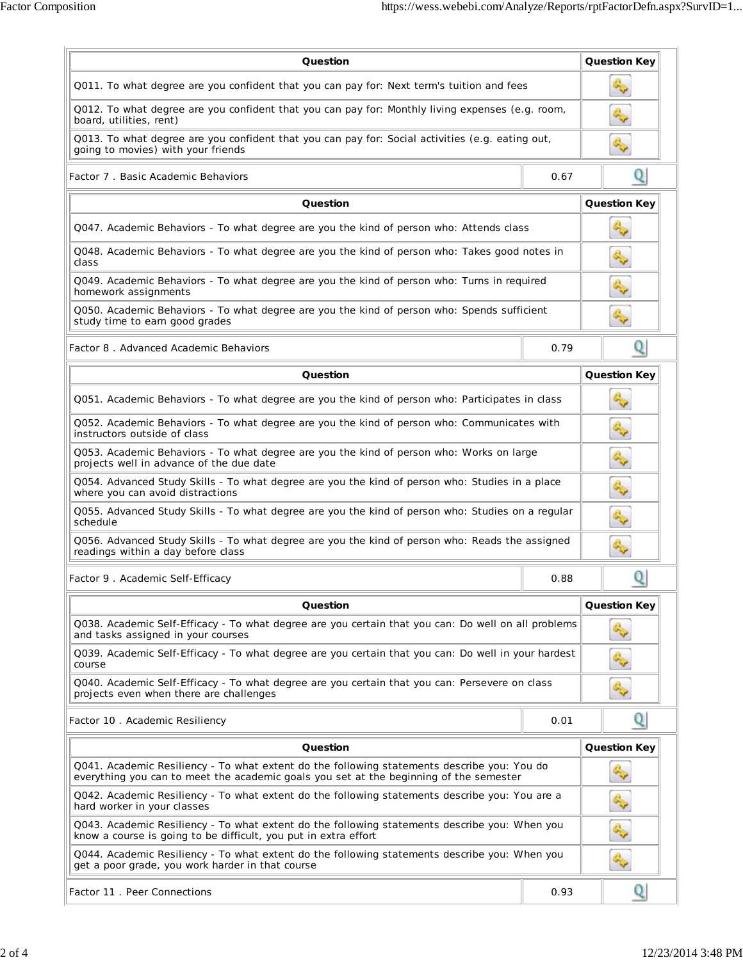| Question                                                                                                                                                                              | <b>Question Key</b> |                     |
|---------------------------------------------------------------------------------------------------------------------------------------------------------------------------------------|---------------------|---------------------|
| Q011. To what degree are you confident that you can pay for: Next term's tuition and fees                                                                                             |                     |                     |
| Q012. To what degree are you confident that you can pay for: Monthly living expenses (e.g. room,<br>board, utilities, rent)                                                           |                     |                     |
| Q013. To what degree are you confident that you can pay for: Social activities (e.g. eating out,<br>going to movies) with your friends                                                |                     |                     |
| Factor 7. Basic Academic Behaviors                                                                                                                                                    | Q                   |                     |
| Question                                                                                                                                                                              | <b>Question Key</b> |                     |
| Q047. Academic Behaviors - To what degree are you the kind of person who: Attends class                                                                                               |                     |                     |
| Q048. Academic Behaviors - To what degree are you the kind of person who: Takes good notes in<br>class                                                                                |                     |                     |
| Q049. Academic Behaviors - To what degree are you the kind of person who: Turns in required<br>homework assignments                                                                   |                     |                     |
| Q050. Academic Behaviors - To what degree are you the kind of person who: Spends sufficient<br>study time to earn good grades                                                         |                     |                     |
| Factor 8. Advanced Academic Behaviors                                                                                                                                                 | 0.79                | Q                   |
| Question                                                                                                                                                                              |                     | <b>Question Key</b> |
| Q051. Academic Behaviors - To what degree are you the kind of person who: Participates in class                                                                                       |                     |                     |
| Q052. Academic Behaviors - To what degree are you the kind of person who: Communicates with<br>instructors outside of class                                                           | <b>G</b>            |                     |
| Q053. Academic Behaviors - To what degree are you the kind of person who: Works on large<br>projects well in advance of the due date                                                  | q,                  |                     |
| Q054. Advanced Study Skills - To what degree are you the kind of person who: Studies in a place<br>where you can avoid distractions                                                   | S                   |                     |
| Q055. Advanced Study Skills - To what degree are you the kind of person who: Studies on a regular<br>schedule                                                                         | <b>GUY</b>          |                     |
| Q056. Advanced Study Skills - To what degree are you the kind of person who: Reads the assigned<br>readings within a day before class                                                 |                     |                     |
| Factor 9. Academic Self-Efficacy                                                                                                                                                      | 0.88                |                     |
| Question                                                                                                                                                                              | <b>Question Key</b> |                     |
| Q038. Academic Self-Efficacy - To what degree are you certain that you can: Do well on all problems<br>and tasks assigned in your courses                                             |                     |                     |
| Q039. Academic Self-Efficacy - To what degree are you certain that you can: Do well in your hardest<br>course                                                                         |                     |                     |
| Q040. Academic Self-Efficacy - To what degree are you certain that you can: Persevere on class<br>projects even when there are challenges                                             |                     |                     |
| Factor 10 . Academic Resiliency                                                                                                                                                       | 0.01                | Q                   |
| Question                                                                                                                                                                              | <b>Question Key</b> |                     |
| Q041. Academic Resiliency - To what extent do the following statements describe you: You do<br>everything you can to meet the academic goals you set at the beginning of the semester |                     |                     |
| Q042. Academic Resiliency - To what extent do the following statements describe you: You are a<br>hard worker in your classes                                                         |                     |                     |
| Q043. Academic Resiliency - To what extent do the following statements describe you: When you<br>know a course is going to be difficult, you put in extra effort                      |                     |                     |
| Q044. Academic Resiliency - To what extent do the following statements describe you: When you<br>get a poor grade, you work harder in that course                                     |                     |                     |
| Factor 11 . Peer Connections                                                                                                                                                          | 0.93                |                     |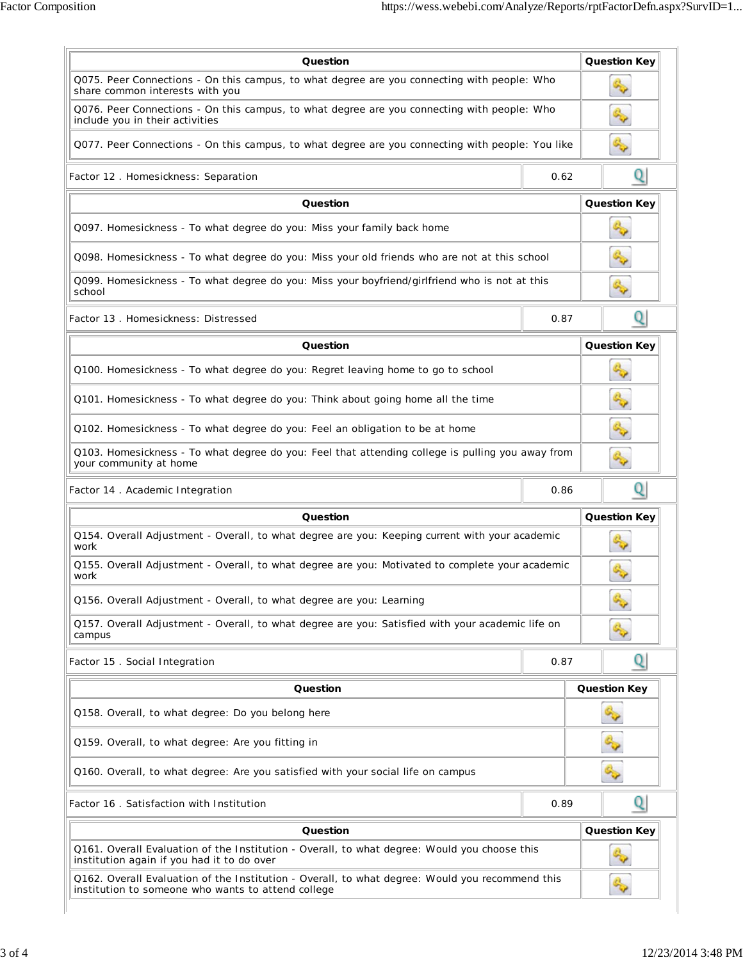| Question                                                                                                                                              |      |  | <b>Question Key</b> |
|-------------------------------------------------------------------------------------------------------------------------------------------------------|------|--|---------------------|
| Q075. Peer Connections - On this campus, to what degree are you connecting with people: Who<br>share common interests with you                        |      |  |                     |
| Q076. Peer Connections - On this campus, to what degree are you connecting with people: Who<br>include you in their activities                        |      |  |                     |
| Q077. Peer Connections - On this campus, to what degree are you connecting with people: You like                                                      |      |  |                     |
| Factor 12 . Homesickness: Separation                                                                                                                  | 0.62 |  | Q                   |
| Question                                                                                                                                              |      |  | <b>Question Key</b> |
| Q097. Homesickness - To what degree do you: Miss your family back home                                                                                |      |  |                     |
| Q098. Homesickness - To what degree do you: Miss your old friends who are not at this school                                                          |      |  |                     |
| Q099. Homesickness - To what degree do you: Miss your boyfriend/girlfriend who is not at this<br>school                                               |      |  |                     |
| Factor 13, Homesickness: Distressed                                                                                                                   | 0.87 |  | Q                   |
| Question                                                                                                                                              |      |  | <b>Question Key</b> |
| Q100. Homesickness - To what degree do you: Regret leaving home to go to school                                                                       |      |  |                     |
| Q101. Homesickness - To what degree do you: Think about going home all the time                                                                       |      |  |                     |
| Q102. Homesickness - To what degree do you: Feel an obligation to be at home                                                                          |      |  | ్చి                 |
| Q103. Homesickness - To what degree do you: Feel that attending college is pulling you away from<br>your community at home                            |      |  |                     |
| Factor 14 . Academic Integration                                                                                                                      | 0.86 |  | Q                   |
| Question                                                                                                                                              |      |  | <b>Question Key</b> |
| Q154. Overall Adjustment - Overall, to what degree are you: Keeping current with your academic<br>work                                                |      |  |                     |
| Q155. Overall Adjustment - Overall, to what degree are you: Motivated to complete your academic<br>work                                               |      |  |                     |
| Q156. Overall Adjustment - Overall, to what degree are you: Learning                                                                                  |      |  |                     |
| Q157. Overall Adjustment - Overall, to what degree are you: Satisfied with your academic life on<br>campus                                            |      |  |                     |
| Factor 15 . Social Integration                                                                                                                        | 0.87 |  | Q                   |
| Question                                                                                                                                              |      |  | <b>Question Key</b> |
| Q158. Overall, to what degree: Do you belong here                                                                                                     |      |  | S                   |
| Q159. Overall, to what degree: Are you fitting in                                                                                                     |      |  | S.                  |
| Q160. Overall, to what degree: Are you satisfied with your social life on campus                                                                      |      |  | 5                   |
| Factor 16. Satisfaction with Institution                                                                                                              | 0.89 |  | Q                   |
| Question                                                                                                                                              |      |  | <b>Question Key</b> |
| Q161. Overall Evaluation of the Institution - Overall, to what degree: Would you choose this<br>institution again if you had it to do over            |      |  |                     |
| Q162. Overall Evaluation of the Institution - Overall, to what degree: Would you recommend this<br>institution to someone who wants to attend college |      |  |                     |
|                                                                                                                                                       |      |  |                     |